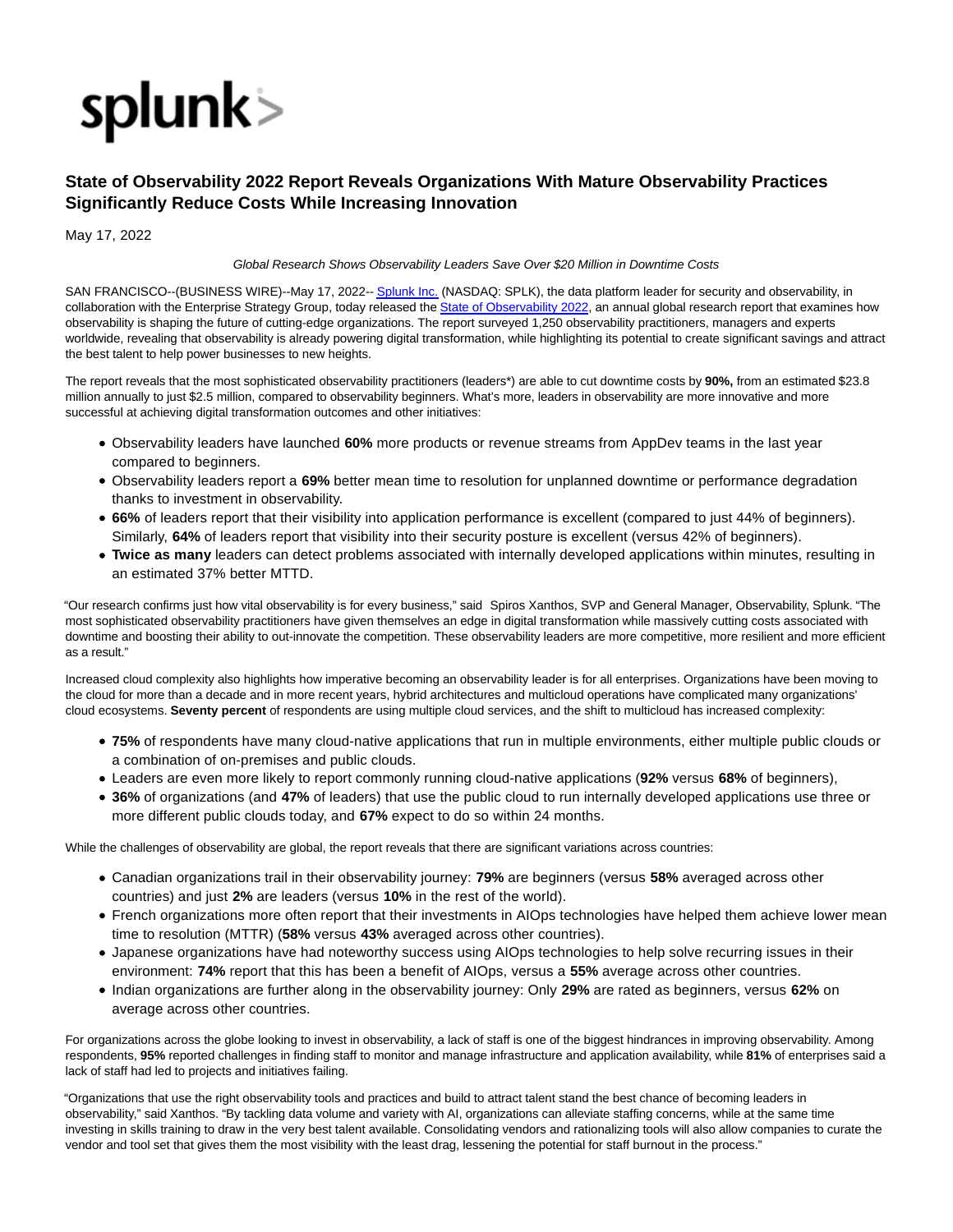

## **State of Observability 2022 Report Reveals Organizations With Mature Observability Practices Significantly Reduce Costs While Increasing Innovation**

May 17, 2022

Global Research Shows Observability Leaders Save Over \$20 Million in Downtime Costs

SAN FRANCISCO--(BUSINESS WIRE)--May 17, 2022-[- Splunk Inc. \(](https://cts.businesswire.com/ct/CT?id=smartlink&url=http%3A%2F%2Fwww.splunk.com%2F&esheet=52721691&newsitemid=20220517005412&lan=en-US&anchor=Splunk+Inc.&index=1&md5=28e2c3c71a05e437d35c413db3cd962c)NASDAQ: SPLK), the data platform leader for security and observability, in collaboration with the Enterprise Strategy Group, today released the [State of Observability 2022,](https://cts.businesswire.com/ct/CT?id=smartlink&url=https%3A%2F%2Fwww.splunk.com%2Fen_us%2Fform%2Fstate-of-observability.html&esheet=52721691&newsitemid=20220517005412&lan=en-US&anchor=State+of+Observability+2022&index=2&md5=d20885ea60146b353b5aaf78c3082275) an annual global research report that examines how observability is shaping the future of cutting-edge organizations. The report surveyed 1,250 observability practitioners, managers and experts worldwide, revealing that observability is already powering digital transformation, while highlighting its potential to create significant savings and attract the best talent to help power businesses to new heights.

The report reveals that the most sophisticated observability practitioners (leaders\*) are able to cut downtime costs by **90%,** from an estimated \$23.8 million annually to just \$2.5 million, compared to observability beginners. What's more, leaders in observability are more innovative and more successful at achieving digital transformation outcomes and other initiatives:

- Observability leaders have launched **60%** more products or revenue streams from AppDev teams in the last year compared to beginners.
- Observability leaders report a **69%** better mean time to resolution for unplanned downtime or performance degradation thanks to investment in observability.
- **66%** of leaders report that their visibility into application performance is excellent (compared to just 44% of beginners). Similarly, **64%** of leaders report that visibility into their security posture is excellent (versus 42% of beginners).
- **Twice as many** leaders can detect problems associated with internally developed applications within minutes, resulting in an estimated 37% better MTTD.

"Our research confirms just how vital observability is for every business," said Spiros Xanthos, SVP and General Manager, Observability, Splunk. "The most sophisticated observability practitioners have given themselves an edge in digital transformation while massively cutting costs associated with downtime and boosting their ability to out-innovate the competition. These observability leaders are more competitive, more resilient and more efficient as a result."

Increased cloud complexity also highlights how imperative becoming an observability leader is for all enterprises. Organizations have been moving to the cloud for more than a decade and in more recent years, hybrid architectures and multicloud operations have complicated many organizations' cloud ecosystems. **Seventy percent** of respondents are using multiple cloud services, and the shift to multicloud has increased complexity:

- **75%** of respondents have many cloud-native applications that run in multiple environments, either multiple public clouds or a combination of on-premises and public clouds.
- Leaders are even more likely to report commonly running cloud-native applications (**92%** versus **68%** of beginners),
- **36%** of organizations (and **47%** of leaders) that use the public cloud to run internally developed applications use three or more different public clouds today, and **67%** expect to do so within 24 months.

While the challenges of observability are global, the report reveals that there are significant variations across countries:

- Canadian organizations trail in their observability journey: **79%** are beginners (versus **58%** averaged across other countries) and just **2%** are leaders (versus **10%** in the rest of the world).
- French organizations more often report that their investments in AIOps technologies have helped them achieve lower mean time to resolution (MTTR) (**58%** versus **43%** averaged across other countries).
- Japanese organizations have had noteworthy success using AIOps technologies to help solve recurring issues in their environment: **74%** report that this has been a benefit of AIOps, versus a **55%** average across other countries.
- Indian organizations are further along in the observability journey: Only **29%** are rated as beginners, versus **62%** on average across other countries.

For organizations across the globe looking to invest in observability, a lack of staff is one of the biggest hindrances in improving observability. Among respondents, **95%** reported challenges in finding staff to monitor and manage infrastructure and application availability, while **81%** of enterprises said a lack of staff had led to projects and initiatives failing.

"Organizations that use the right observability tools and practices and build to attract talent stand the best chance of becoming leaders in observability," said Xanthos. "By tackling data volume and variety with AI, organizations can alleviate staffing concerns, while at the same time investing in skills training to draw in the very best talent available. Consolidating vendors and rationalizing tools will also allow companies to curate the vendor and tool set that gives them the most visibility with the least drag, lessening the potential for staff burnout in the process."